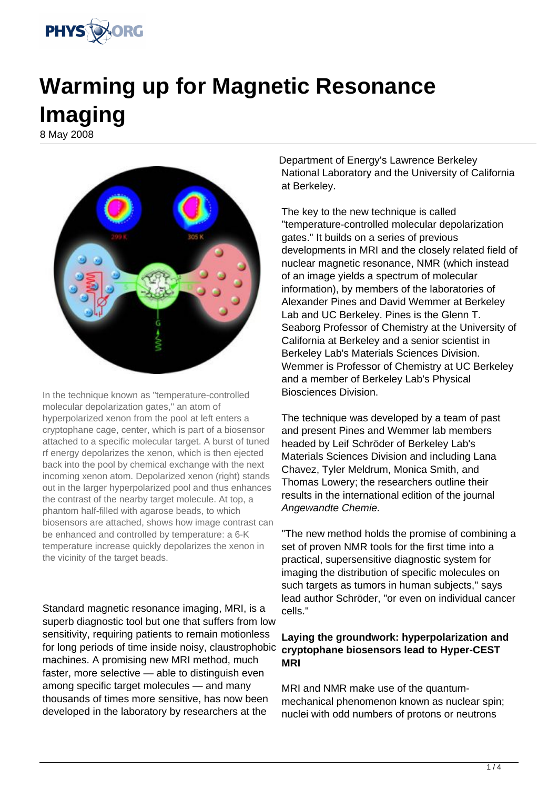

## **Warming up for Magnetic Resonance Imaging**

8 May 2008



In the technique known as "temperature-controlled molecular depolarization gates," an atom of hyperpolarized xenon from the pool at left enters a cryptophane cage, center, which is part of a biosensor attached to a specific molecular target. A burst of tuned rf energy depolarizes the xenon, which is then ejected back into the pool by chemical exchange with the next incoming xenon atom. Depolarized xenon (right) stands out in the larger hyperpolarized pool and thus enhances the contrast of the nearby target molecule. At top, a phantom half-filled with agarose beads, to which biosensors are attached, shows how image contrast can be enhanced and controlled by temperature: a 6-K temperature increase quickly depolarizes the xenon in the vicinity of the target beads.

Standard magnetic resonance imaging, MRI, is a superb diagnostic tool but one that suffers from low sensitivity, requiring patients to remain motionless for long periods of time inside noisy, claustrophobic machines. A promising new MRI method, much faster, more selective — able to distinguish even among specific target molecules — and many thousands of times more sensitive, has now been developed in the laboratory by researchers at the

Department of Energy's Lawrence Berkeley National Laboratory and the University of California at Berkeley.

The key to the new technique is called "temperature-controlled molecular depolarization gates." It builds on a series of previous developments in MRI and the closely related field of nuclear magnetic resonance, NMR (which instead of an image yields a spectrum of molecular information), by members of the laboratories of Alexander Pines and David Wemmer at Berkeley Lab and UC Berkeley. Pines is the Glenn T. Seaborg Professor of Chemistry at the University of California at Berkeley and a senior scientist in Berkeley Lab's Materials Sciences Division. Wemmer is Professor of Chemistry at UC Berkeley and a member of Berkeley Lab's Physical Biosciences Division.

The technique was developed by a team of past and present Pines and Wemmer lab members headed by Leif Schröder of Berkeley Lab's Materials Sciences Division and including Lana Chavez, Tyler Meldrum, Monica Smith, and Thomas Lowery; the researchers outline their results in the international edition of the journal Angewandte Chemie.

"The new method holds the promise of combining a set of proven NMR tools for the first time into a practical, supersensitive diagnostic system for imaging the distribution of specific molecules on such targets as tumors in human subjects," says lead author Schröder, "or even on individual cancer cells."

## **Laying the groundwork: hyperpolarization and cryptophane biosensors lead to Hyper-CEST MRI**

MRI and NMR make use of the quantummechanical phenomenon known as nuclear spin; nuclei with odd numbers of protons or neutrons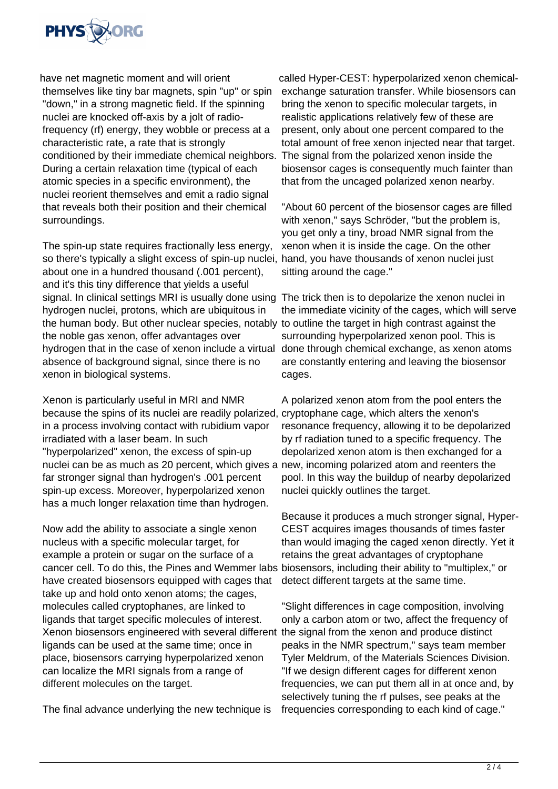

have net magnetic moment and will orient themselves like tiny bar magnets, spin "up" or spin "down," in a strong magnetic field. If the spinning nuclei are knocked off-axis by a jolt of radiofrequency (rf) energy, they wobble or precess at a characteristic rate, a rate that is strongly conditioned by their immediate chemical neighbors. During a certain relaxation time (typical of each atomic species in a specific environment), the nuclei reorient themselves and emit a radio signal that reveals both their position and their chemical surroundings.

The spin-up state requires fractionally less energy, so there's typically a slight excess of spin-up nuclei, about one in a hundred thousand (.001 percent), and it's this tiny difference that yields a useful signal. In clinical settings MRI is usually done using The trick then is to depolarize the xenon nuclei in hydrogen nuclei, protons, which are ubiquitous in the human body. But other nuclear species, notably to outline the target in high contrast against the the noble gas xenon, offer advantages over hydrogen that in the case of xenon include a virtual absence of background signal, since there is no xenon in biological systems.

Xenon is particularly useful in MRI and NMR because the spins of its nuclei are readily polarized, in a process involving contact with rubidium vapor irradiated with a laser beam. In such "hyperpolarized" xenon, the excess of spin-up nuclei can be as much as 20 percent, which gives a far stronger signal than hydrogen's .001 percent spin-up excess. Moreover, hyperpolarized xenon has a much longer relaxation time than hydrogen.

Now add the ability to associate a single xenon nucleus with a specific molecular target, for example a protein or sugar on the surface of a cancer cell. To do this, the Pines and Wemmer labs have created biosensors equipped with cages that take up and hold onto xenon atoms; the cages, molecules called cryptophanes, are linked to ligands that target specific molecules of interest. Xenon biosensors engineered with several different ligands can be used at the same time; once in place, biosensors carrying hyperpolarized xenon can localize the MRI signals from a range of different molecules on the target.

The final advance underlying the new technique is

called Hyper-CEST: hyperpolarized xenon chemicalexchange saturation transfer. While biosensors can bring the xenon to specific molecular targets, in realistic applications relatively few of these are present, only about one percent compared to the total amount of free xenon injected near that target. The signal from the polarized xenon inside the biosensor cages is consequently much fainter than that from the uncaged polarized xenon nearby.

"About 60 percent of the biosensor cages are filled with xenon," says Schröder, "but the problem is, you get only a tiny, broad NMR signal from the xenon when it is inside the cage. On the other hand, you have thousands of xenon nuclei just sitting around the cage."

the immediate vicinity of the cages, which will serve surrounding hyperpolarized xenon pool. This is done through chemical exchange, as xenon atoms are constantly entering and leaving the biosensor cages.

A polarized xenon atom from the pool enters the cryptophane cage, which alters the xenon's resonance frequency, allowing it to be depolarized by rf radiation tuned to a specific frequency. The depolarized xenon atom is then exchanged for a new, incoming polarized atom and reenters the pool. In this way the buildup of nearby depolarized nuclei quickly outlines the target.

Because it produces a much stronger signal, Hyper-CEST acquires images thousands of times faster than would imaging the caged xenon directly. Yet it retains the great advantages of cryptophane biosensors, including their ability to "multiplex," or detect different targets at the same time.

"Slight differences in cage composition, involving only a carbon atom or two, affect the frequency of the signal from the xenon and produce distinct peaks in the NMR spectrum," says team member Tyler Meldrum, of the Materials Sciences Division. "If we design different cages for different xenon frequencies, we can put them all in at once and, by selectively tuning the rf pulses, see peaks at the frequencies corresponding to each kind of cage."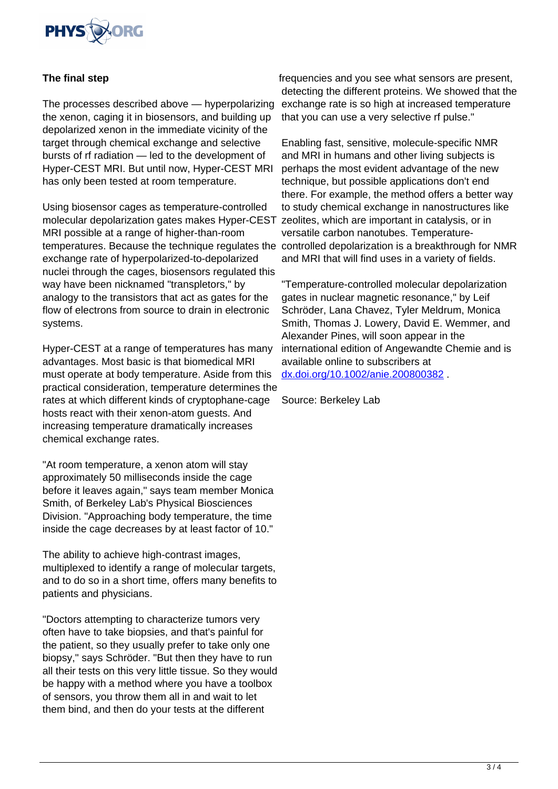

## **The final step**

The processes described above — hyperpolarizing the xenon, caging it in biosensors, and building up depolarized xenon in the immediate vicinity of the target through chemical exchange and selective bursts of rf radiation — led to the development of Hyper-CEST MRI. But until now, Hyper-CEST MRI has only been tested at room temperature.

Using biosensor cages as temperature-controlled molecular depolarization gates makes Hyper-CEST MRI possible at a range of higher-than-room temperatures. Because the technique regulates the controlled depolarization is a breakthrough for NMR exchange rate of hyperpolarized-to-depolarized nuclei through the cages, biosensors regulated this way have been nicknamed "transpletors," by analogy to the transistors that act as gates for the flow of electrons from source to drain in electronic systems.

Hyper-CEST at a range of temperatures has many advantages. Most basic is that biomedical MRI must operate at body temperature. Aside from this practical consideration, temperature determines the rates at which different kinds of cryptophane-cage hosts react with their xenon-atom guests. And increasing temperature dramatically increases chemical exchange rates.

"At room temperature, a xenon atom will stay approximately 50 milliseconds inside the cage before it leaves again," says team member Monica Smith, of Berkeley Lab's Physical Biosciences Division. "Approaching body temperature, the time inside the cage decreases by at least factor of 10."

The ability to achieve high-contrast images, multiplexed to identify a range of molecular targets, and to do so in a short time, offers many benefits to patients and physicians.

"Doctors attempting to characterize tumors very often have to take biopsies, and that's painful for the patient, so they usually prefer to take only one biopsy," says Schröder. "But then they have to run all their tests on this very little tissue. So they would be happy with a method where you have a toolbox of sensors, you throw them all in and wait to let them bind, and then do your tests at the different

frequencies and you see what sensors are present, detecting the different proteins. We showed that the exchange rate is so high at increased temperature that you can use a very selective rf pulse."

Enabling fast, sensitive, molecule-specific NMR and MRI in humans and other living subjects is perhaps the most evident advantage of the new technique, but possible applications don't end there. For example, the method offers a better way to study chemical exchange in nanostructures like zeolites, which are important in catalysis, or in versatile carbon nanotubes. Temperatureand MRI that will find uses in a variety of fields.

"Temperature-controlled molecular depolarization gates in nuclear magnetic resonance," by Leif Schröder, Lana Chavez, Tyler Meldrum, Monica Smith, Thomas J. Lowery, David E. Wemmer, and Alexander Pines, will soon appear in the international edition of Angewandte Chemie and is available online to subscribers at [dx.doi.org/10.1002/anie.200800382](http://dx.doi.org/10.1002/anie.200800382) .

Source: Berkeley Lab